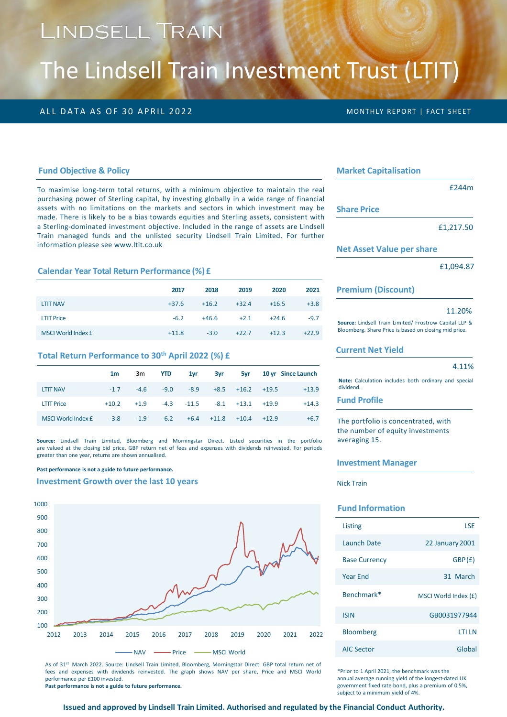# LINDSELL TRAIN

# The Lindsell Train Investment Trust (LTIT)

# ALL DATA AS OF 30 APRIL 2022 **MONTHLY REPORT | FACT SHEET**

#### **Fund Objective & Policy**

To maximise long-term total returns, with a minimum objective to maintain the real purchasing power of Sterling capital, by investing globally in a wide range of financial assets with no limitations on the markets and sectors in which investment may be made. There is likely to be a bias towards equities and Sterling assets, consistent with a Sterling-dominated investment objective. Included in the range of assets are Lindsell Train managed funds and the unlisted security Lindsell Train Limited. For further information please see www.ltit.co.uk

### **Calendar Year Total Return Performance (%) £**

|                    | 2017    | 2018    | 2019    | 2020    | 2021    |
|--------------------|---------|---------|---------|---------|---------|
| <b>LTIT NAV</b>    | $+37.6$ | $+16.2$ | $+32.4$ | $+16.5$ | $+3.8$  |
| <b>LTIT Price</b>  | $-6.2$  | $+46.6$ | $+2.1$  | $+24.6$ | $-9.7$  |
| MSCI World Index £ | $+11.8$ | $-3.0$  | $+22.7$ | $+12.3$ | $+22.9$ |

# **Total Return Performance to 30th April 2022 (%) £**

|                    | 1m     |              | 3m <b>YTD</b> |        | 1yr 3yr                               |                    |         | <b>5yr</b> 10 yr Since Launch |
|--------------------|--------|--------------|---------------|--------|---------------------------------------|--------------------|---------|-------------------------------|
| <b>LTIT NAV</b>    | $-1.7$ | $-4.6$       | $-9.0$        | $-8.9$ |                                       | $+8.5 +16.2 +19.5$ |         | $+13.9$                       |
| <b>LTIT Price</b>  |        | $+10.2 +1.9$ |               |        | $-4.3$ $-11.5$ $-8.1$ $+13.1$ $+19.9$ |                    |         | $+14.3$                       |
| MSCI World Index £ | $-3.8$ | $-1.9$       | $-6.2$        |        | $+6.4 +11.8 +10.4$                    |                    | $+12.9$ | $+6.7$                        |

**Source:** Lindsell Train Limited, Bloomberg and Morningstar Direct. Listed securities in the portfolio are valued at the closing bid price. GBP return net of fees and expenses with dividends reinvested. For periods greater than one year, returns are shown annualised.

**Past performance is not a guide to future performance.** 

#### **Investment Growth over the last 10 years**



As of 31<sup>st</sup> March 2022. Source: Lindsell Train Limited, Bloomberg, Morningstar Direct. GBP total return net of fees and expenses with dividends reinvested. The graph shows NAV per share, Price and MSCI World performance per £100 invested.

**Past performance is not a guide to future performance.**

#### **Market Capitalisation**

**Share** Pr

|     | £244m |
|-----|-------|
| ice |       |

£1,217.50

#### **Net Asset Value per share**

£1,094.87

#### **Premium (Discount)**

#### 11.20%

**Source:** Lindsell Train Limited/ Frostrow Capital LLP & Bloomberg. Share Price is based on closing mid price.

#### **Current Net Yield**

#### 4.11%

**Note:** Calculation includes both ordinary and special dividend.

# **Fund Profile**

The portfolio is concentrated, with the number of equity investments averaging 15.

#### **Investment Manager**

Nick Train

## **Fund Information**

| Listing              | I SF                   |
|----------------------|------------------------|
| Launch Date          | <b>22 January 2001</b> |
| <b>Base Currency</b> | GBP(E)                 |
| Year Fnd             | 31 March               |
| Benchmark*           | MSCI World Index (£)   |
| <b>ISIN</b>          | GB0031977944           |
| <b>Bloomberg</b>     | I TI LN                |
| <b>AIC Sector</b>    | Global                 |

\*Prior to 1 April 2021, the benchmark was the annual average running yield of the longest-dated UK government fixed rate bond, plus a premium of 0.5%, subject to a minimum yield of 4%.

#### **Issued and approved by Lindsell Train Limited. Authorised and regulated by the Financial Conduct Authority.**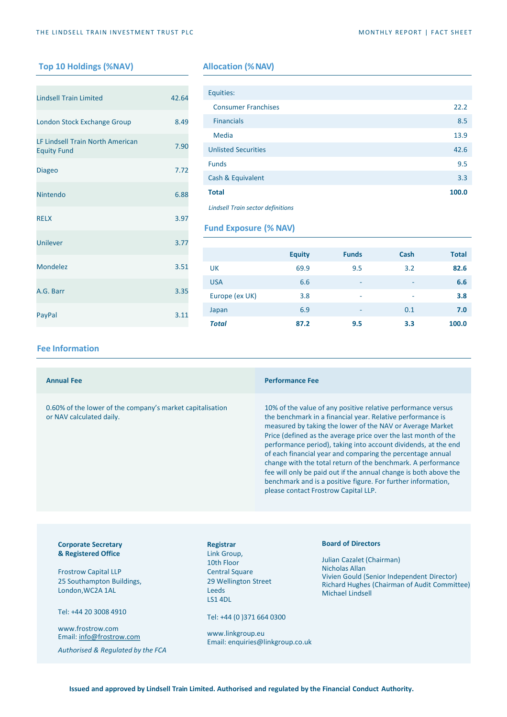# **Top 10 Holdings (%NAV) Allocation (%NAV)**

| <b>Lindsell Train Limited</b>                          | 42.64 |
|--------------------------------------------------------|-------|
| London Stock Exchange Group                            | 8.49  |
| LF Lindsell Train North American<br><b>Equity Fund</b> | 7.90  |
| <b>Diageo</b>                                          | 7.72  |
| Nintendo                                               | 6.88  |
| <b>RELX</b>                                            | 3.97  |
| <b>Unilever</b>                                        | 3.77  |
| Mondelez                                               | 3.51  |
| A.G. Barr                                              | 3.35  |
| PayPal                                                 | 3.11  |

| Equities:                                |       |
|------------------------------------------|-------|
| <b>Consumer Franchises</b>               | 22.2  |
| <b>Financials</b>                        | 8.5   |
| Media                                    | 13.9  |
| <b>Unlisted Securities</b>               | 42.6  |
| <b>Funds</b>                             | 9.5   |
| Cash & Equivalent                        | 3.3   |
| <b>Total</b>                             | 100.0 |
| <b>Lindsell Train sector definitions</b> |       |

**Fund Exposure (% NAV)**

|                | <b>Equity</b> | <b>Funds</b> | Cash | <b>Total</b> |
|----------------|---------------|--------------|------|--------------|
| <b>UK</b>      | 69.9          | 9.5          | 3.2  | 82.6         |
| <b>USA</b>     | 6.6           | ۰            | ۰    | 6.6          |
| Europe (ex UK) | 3.8           | ۰            | ۰    | 3.8          |
| Japan          | 6.9           | ۰            | 0.1  | 7.0          |
| <b>Total</b>   | 87.2          | 9.5          | 3.3  | 100.0        |

## **Fee Information**

| <b>Annual Fee</b>                                                                     |                          | <b>Performance Fee</b>                                                                                                                                                                                                                                                                                                                                                                                                                                                                                                                                                                                                                |
|---------------------------------------------------------------------------------------|--------------------------|---------------------------------------------------------------------------------------------------------------------------------------------------------------------------------------------------------------------------------------------------------------------------------------------------------------------------------------------------------------------------------------------------------------------------------------------------------------------------------------------------------------------------------------------------------------------------------------------------------------------------------------|
| 0.60% of the lower of the company's market capitalisation<br>or NAV calculated daily. |                          | 10% of the value of any positive relative performance versus<br>the benchmark in a financial year. Relative performance is<br>measured by taking the lower of the NAV or Average Market<br>Price (defined as the average price over the last month of the<br>performance period), taking into account dividends, at the end<br>of each financial year and comparing the percentage annual<br>change with the total return of the benchmark. A performance<br>fee will only be paid out if the annual change is both above the<br>benchmark and is a positive figure. For further information,<br>please contact Frostrow Capital LLP. |
|                                                                                       |                          |                                                                                                                                                                                                                                                                                                                                                                                                                                                                                                                                                                                                                                       |
| <b>Corporate Secretary</b><br>& Registered Office                                     | Registrar<br>Link Group, | <b>Board of Directors</b><br>the contract of the contract of the contract of the contract of the contract of the contract of the contract of                                                                                                                                                                                                                                                                                                                                                                                                                                                                                          |

Frostrow Capital LLP 25 Southampton Buildings, London,WC2A 1AL

Tel: +44 20 3008 4910

www.frostrow.com Email: [info@frostrow.com](mailto:info@frostrow.com)

*Authorised & Regulated by the FCA*

iroup, 10th Floor Central Square 29 Wellington Street Leeds LS1 4DL

Tel: +44 (0 )371 664 0300

www.linkgroup.eu Email: enquiries@linkgroup.co.uk Julian Cazalet (Chairman) Nicholas Allan Vivien Gould (Senior Independent Director) Richard Hughes (Chairman of Audit Committee) Michael Lindsell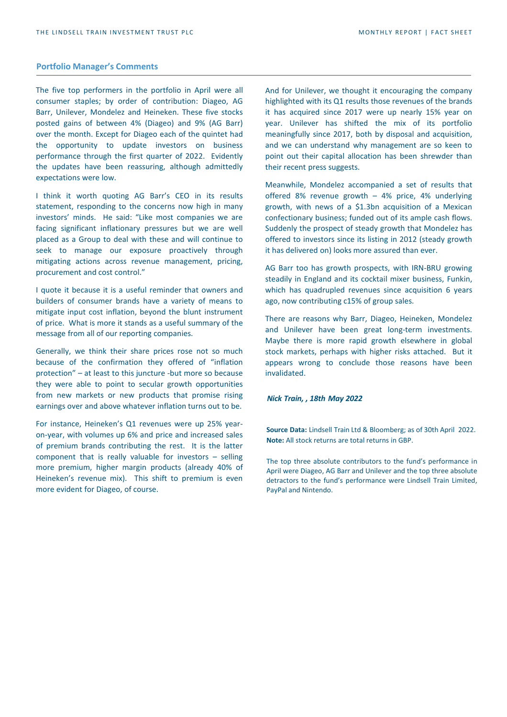### **Portfolio Manager's Comments**

The five top performers in the portfolio in April were all consumer staples; by order of contribution: Diageo, AG Barr, Unilever, Mondelez and Heineken. These five stocks posted gains of between 4% (Diageo) and 9% (AG Barr) over the month. Except for Diageo each of the quintet had the opportunity to update investors on business performance through the first quarter of 2022. Evidently the updates have been reassuring, although admittedly expectations were low.

I think it worth quoting AG Barr's CEO in its results statement, responding to the concerns now high in many investors' minds. He said: "Like most companies we are facing significant inflationary pressures but we are well placed as a Group to deal with these and will continue to seek to manage our exposure proactively through mitigating actions across revenue management, pricing, procurement and cost control."

I quote it because it is a useful reminder that owners and builders of consumer brands have a variety of means to mitigate input cost inflation, beyond the blunt instrument of price. What is more it stands as a useful summary of the message from all of our reporting companies.

Generally, we think their share prices rose not so much because of the confirmation they offered of "inflation protection" – at least to this juncture -but more so because they were able to point to secular growth opportunities from new markets or new products that promise rising earnings over and above whatever inflation turns out to be.

For instance, Heineken's Q1 revenues were up 25% yearon-year, with volumes up 6% and price and increased sales of premium brands contributing the rest. It is the latter component that is really valuable for investors – selling more premium, higher margin products (already 40% of Heineken's revenue mix). This shift to premium is even more evident for Diageo, of course.

And for Unilever, we thought it encouraging the company highlighted with its Q1 results those revenues of the brands it has acquired since 2017 were up nearly 15% year on year. Unilever has shifted the mix of its portfolio meaningfully since 2017, both by disposal and acquisition, and we can understand why management are so keen to point out their capital allocation has been shrewder than their recent press suggests.

Meanwhile, Mondelez accompanied a set of results that offered 8% revenue growth – 4% price, 4% underlying growth, with news of a \$1.3bn acquisition of a Mexican confectionary business; funded out of its ample cash flows. Suddenly the prospect of steady growth that Mondelez has offered to investors since its listing in 2012 (steady growth it has delivered on) looks more assured than ever.

AG Barr too has growth prospects, with IRN-BRU growing steadily in England and its cocktail mixer business, Funkin, which has quadrupled revenues since acquisition 6 years ago, now contributing c15% of group sales.

There are reasons why Barr, Diageo, Heineken, Mondelez and Unilever have been great long-term investments. Maybe there is more rapid growth elsewhere in global stock markets, perhaps with higher risks attached. But it appears wrong to conclude those reasons have been invalidated.

#### *Nick Train, , 18th May 2022*

**Source Data:** Lindsell Train Ltd & Bloomberg; as of 30th April 2022. **Note:** All stock returns are total returns in GBP.

The top three absolute contributors to the fund's performance in April were Diageo, AG Barr and Unilever and the top three absolute detractors to the fund's performance were Lindsell Train Limited, PayPal and Nintendo.